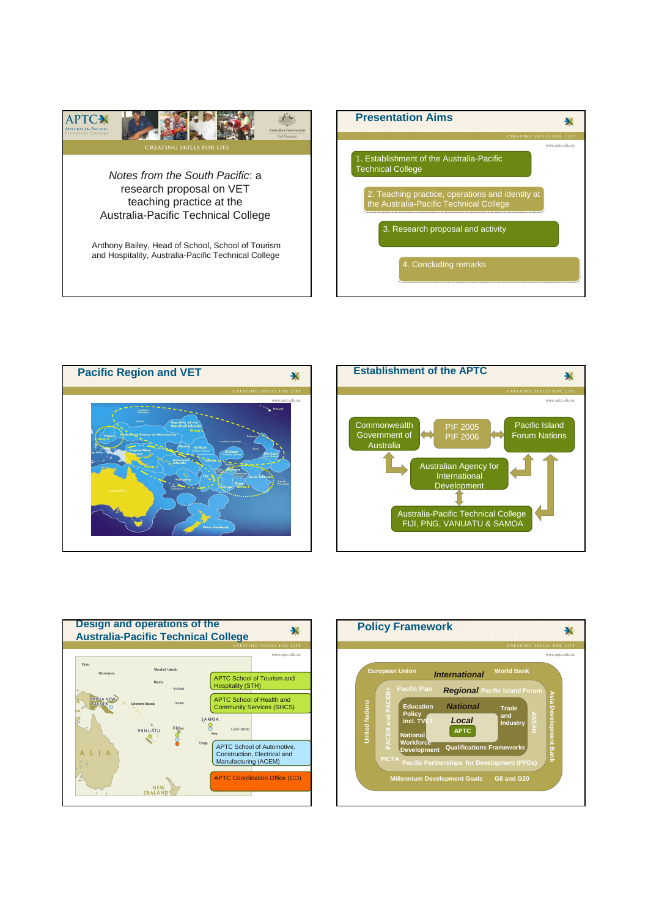









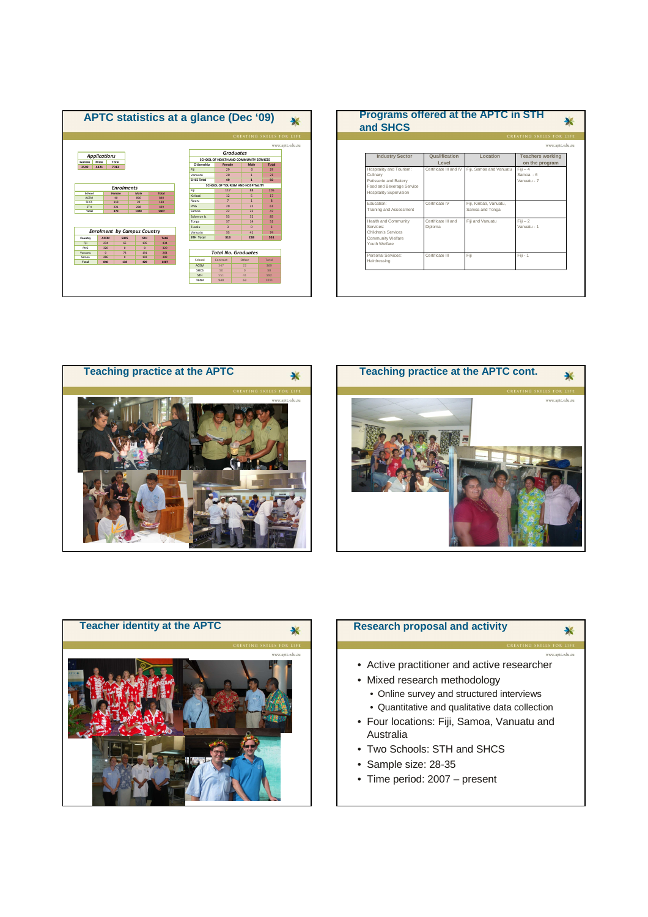

| <b>CREATING SKILLS FOR LIFE</b> |                        |                          |                         |
|---------------------------------|------------------------|--------------------------|-------------------------|
|                                 |                        | www.aptc.edu.au          |                         |
| <b>Industry Sector</b>          | Qualification          | Location                 | <b>Teachers working</b> |
|                                 | Level                  |                          | on the program          |
| Hospitality and Tourism:        | Certificate III and IV | Fiii, Samoa and Vanuatu  | $Fiii - 4$              |
| Culinary                        |                        |                          | Samoa - 6               |
| Patisserie and Bakery           |                        |                          | Vanuatu - 7             |
| Food and Beverage Service       |                        |                          |                         |
| <b>Hospitality Supervision</b>  |                        |                          |                         |
| Education:                      | Certificate IV         | Fiii, Kiribati, Vanuatu, |                         |
| Training and Assessment         |                        | Samoa and Tonga          |                         |
| Health and Community            | Certificate III and    | Fiii and Vanuatu         | $Fiii - 2$              |
| Services:                       | Diploma                |                          | Vanuatu - 1             |
| Children's Services             |                        |                          |                         |
| Community Welfare               |                        |                          |                         |
| Youth Welfare                   |                        |                          |                         |
| Personal Services:              | Certificate III        | Fiii                     | Fili - 1                |
| Hairdressing                    |                        |                          |                         |







## **Research proposal and activity**

• Active practitioner and active researcher

 $\overline{\mathbf{x}}$ 

- Mixed research methodology
	- Online survey and structured interviews
	- Quantitative and qualitative data collection
- Four locations: Fiji, Samoa, Vanuatu and Australia
- Two Schools: STH and SHCS
- Sample size: 28-35
- Time period: 2007 present